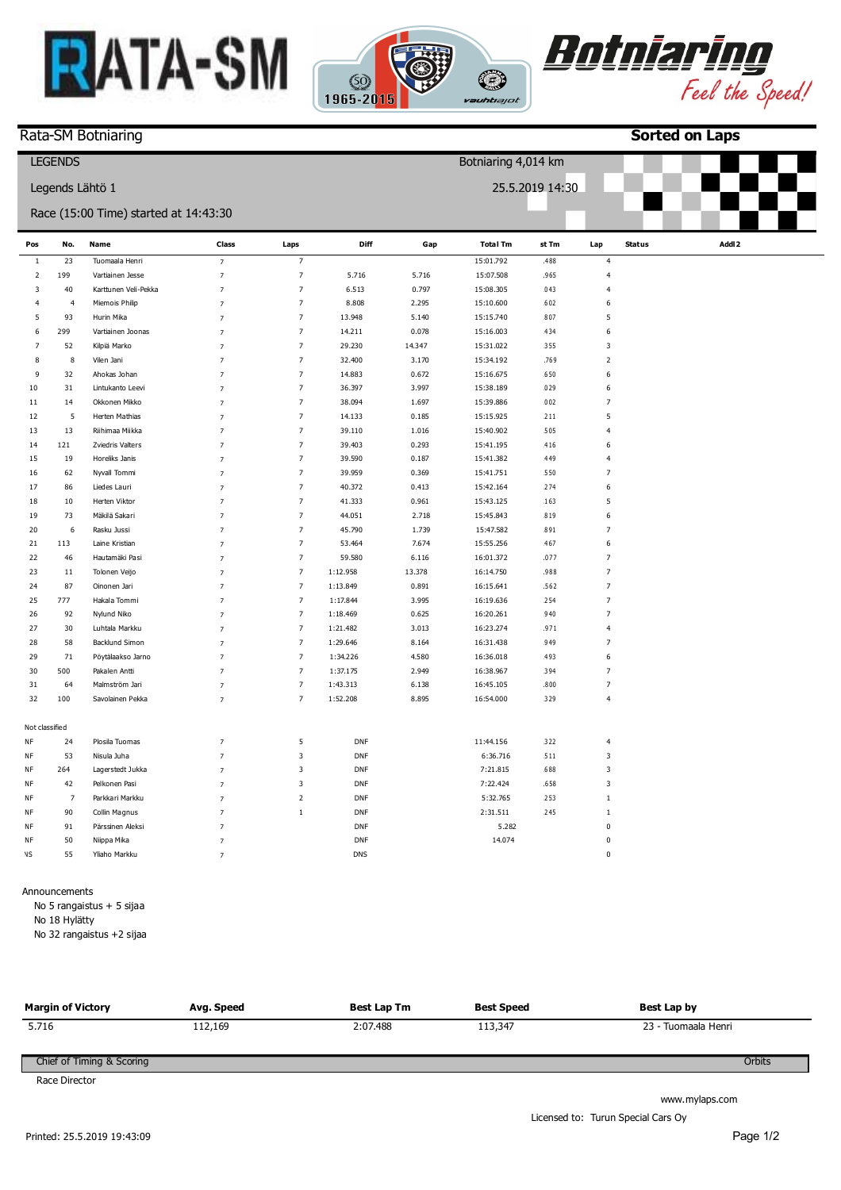





## Rata-SM Botniaring

**Sorted on Laps**

|                                    | <b>LEGENDS</b> |                                       |                                  |                                  |                  |                | Botniaring 4,014 km    |            |                         |               |        |
|------------------------------------|----------------|---------------------------------------|----------------------------------|----------------------------------|------------------|----------------|------------------------|------------|-------------------------|---------------|--------|
| 25.5.2019 14:30<br>Legends Lähtö 1 |                |                                       |                                  |                                  |                  |                |                        |            |                         |               |        |
|                                    |                | Race (15:00 Time) started at 14:43:30 |                                  |                                  |                  |                |                        |            |                         |               |        |
| Pos                                | No.            | Name                                  | Class                            | Laps                             | Diff             | Gap            | <b>Total Tm</b>        | st Tm      | Lap                     | <b>Status</b> | Addl 2 |
| $\mathbf{1}$                       | 23             | Tuomaala Henri                        | $\overline{\phantom{a}}$         | $\overline{7}$                   |                  |                | 15:01.792              | .488       | $\overline{4}$          |               |        |
| $\overline{\mathbf{c}}$            | 199            | Vartiainen Jesse                      | $\overline{7}$                   | $\overline{7}$                   | 5.716            | 5.716          | 15:07.508              | .965       | $\overline{4}$          |               |        |
| 3                                  | 40             | Karttunen Veli-Pekka                  | $\overline{7}$                   | $\overline{7}$                   | 6.513            | 0.797          | 15:08.305              | 043        | $\overline{4}$          |               |        |
| $\overline{4}$                     | $\overline{4}$ | Miemois Philip                        | $\overline{7}$                   | $\overline{7}$                   | 8.808            | 2.295          | 15:10.600              | 602        | $\boldsymbol{6}$        |               |        |
| 5                                  | 93             | Hurin Mika                            | $\overline{7}$                   | $\overline{7}$                   | 13.948           | 5.140          | 15:15.740              | 807        | 5                       |               |        |
| 6                                  | 299            | Vartiainen Joonas                     | $\overline{7}$                   | $\overline{7}$                   | 14.211           | 0.078          | 15:16.003              | 434        | $\boldsymbol{6}$        |               |        |
| $\overline{7}$                     | 52             | Kilpiä Marko                          | $\overline{7}$                   | $\overline{7}$                   | 29.230           | 14.347         | 15:31.022              | 355        | $\overline{3}$          |               |        |
| 8                                  | 8              | Vilen Jani                            | $\overline{7}$                   | $\overline{7}$                   | 32.400           | 3.170          | 15:34.192              | .769       | $\overline{\mathbf{2}}$ |               |        |
| 9                                  | 32             | Ahokas Johan                          | $\overline{7}$                   | $\overline{7}$                   | 14.883           | 0.672          | 15:16.675              | 650        | $\boldsymbol{6}$        |               |        |
| 10                                 | 31             | Lintukanto Leevi                      | $\overline{7}$                   | $\overline{7}$                   | 36.397           | 3.997          | 15:38.189              | 029        | $\boldsymbol{6}$        |               |        |
| 11                                 | 14             | Okkonen Mikko                         | $\overline{7}$                   | $\overline{7}$                   | 38.094           | 1.697          | 15:39.886              | 002        | $\overline{7}$          |               |        |
| 12                                 | 5              | Herten Mathias                        | $\overline{7}$                   | $\overline{7}$                   | 14.133           | 0.185          | 15:15.925              | 211        | 5                       |               |        |
| 13                                 | 13             | Riihimaa Miikka                       | $\overline{7}$                   | $\overline{7}$                   | 39.110           | 1.016          | 15:40.902              | 505        | $\overline{4}$          |               |        |
| 14                                 | 121            | Zviedris Valters                      | $\overline{7}$                   | $\overline{7}$                   | 39.403           | 0.293          | 15:41.195              | 416        | $\boldsymbol{6}$        |               |        |
| 15                                 | 19             | Horeliks Janis                        | $\overline{7}$                   | $\overline{7}$<br>$\overline{7}$ | 39.590           | 0.187          | 15:41.382              | 449        | $\overline{4}$          |               |        |
| 16                                 | 62             | Nyvall Tommi                          | $\overline{7}$                   |                                  | 39.959           | 0.369          | 15:41.751              | 550        | $\overline{7}$          |               |        |
| 17                                 | 86             | Liedes Lauri                          | $\overline{7}$                   | $\overline{7}$<br>$\overline{7}$ | 40.372           | 0.413          | 15:42.164              | 274        | 6<br>5                  |               |        |
| 18                                 | 10             | Herten Viktor                         | $\overline{7}$                   | $\overline{7}$                   | 41.333           | 0.961          | 15:43.125              | 163        | $\boldsymbol{6}$        |               |        |
| 19                                 | 73             | Mäkilä Sakari                         | $\overline{7}$                   | $\overline{7}$                   | 44.051           | 2.718          | 15:45.843              | 819        | $\overline{7}$          |               |        |
| 20<br>21                           | 6<br>113       | Rasku Jussi<br>Laine Kristian         | $\overline{7}$<br>$\overline{7}$ | $\overline{7}$                   | 45.790<br>53.464 | 1.739<br>7.674 | 15:47.582<br>15:55.256 | 891<br>467 | $\boldsymbol{6}$        |               |        |
| 22                                 | 46             | Hautamäki Pasi                        | $\overline{7}$                   | $\overline{7}$                   | 59.580           | 6.116          | 16:01.372              | .077       | $\overline{7}$          |               |        |
| 23                                 | 11             | Tolonen Veijo                         | $\overline{7}$                   | $\overline{7}$                   | 1:12.958         | 13.378         | 16:14.750              | .988       | $\overline{7}$          |               |        |
| 24                                 | 87             | Oinonen Jari                          | $\overline{7}$                   | $\overline{7}$                   | 1:13.849         | 0.891          | 16:15.641              | .562       | $\overline{7}$          |               |        |
| 25                                 | 777            | Hakala Tommi                          | $\overline{7}$                   | $\overline{7}$                   | 1:17.844         | 3.995          | 16:19.636              | 254        | $\overline{7}$          |               |        |
| 26                                 | 92             | Nylund Niko                           | $\overline{7}$                   | $\overline{7}$                   | 1:18.469         | 0.625          | 16:20.261              | 940        | $\overline{7}$          |               |        |
| 27                                 | 30             | Luhtala Markku                        | $\overline{7}$                   | $\overline{7}$                   | 1:21.482         | 3.013          | 16:23.274              | .971       | $\overline{4}$          |               |        |
| 28                                 | 58             | <b>Backlund Simon</b>                 | $\overline{7}$                   | $\overline{7}$                   | 1:29.646         | 8.164          | 16:31.438              | 949        | $\overline{7}$          |               |        |
| 29                                 | 71             | Pöytälaakso Jarno                     | $\overline{7}$                   | $\overline{7}$                   | 1:34.226         | 4.580          | 16:36.018              | 493        | $\boldsymbol{6}$        |               |        |
| 30                                 | 500            | Pakalen Antti                         | $\overline{7}$                   | $\overline{7}$                   | 1:37.175         | 2.949          | 16:38.967              | 394        | $\overline{7}$          |               |        |
| 31                                 | 64             | Malmström Jari                        | $\overline{7}$                   | $\overline{7}$                   | 1:43.313         | 6.138          | 16:45.105              | .800       | $\overline{7}$          |               |        |
| 32                                 | 100            | Savolainen Pekka                      | $\overline{7}$                   | $\overline{7}$                   | 1:52.208         | 8.895          | 16:54.000              | 329        | $\overline{4}$          |               |        |
| Not classified                     |                |                                       |                                  |                                  |                  |                |                        |            |                         |               |        |
| NF                                 | 24             | Plosila Tuomas                        | $\overline{7}$                   | $\sqrt{5}$                       | <b>DNF</b>       |                | 11:44.156              | 322        | $\overline{4}$          |               |        |
| NF                                 | 53             | Nisula Juha                           | $\overline{7}$                   | $\mathsf 3$                      | <b>DNF</b>       |                | 6:36.716               | 511        | $\overline{3}$          |               |        |
| NF                                 | 264            | Lagerstedt Jukka                      | $\overline{7}$                   | $\mathsf 3$                      | <b>DNF</b>       |                | 7:21.815               | 688        | $\overline{3}$          |               |        |
| NF                                 | 42             | Pelkonen Pasi                         | $\overline{7}$                   | $\mathsf 3$                      | <b>DNF</b>       |                | 7:22.424               | .658       | $\overline{3}$          |               |        |
| NF                                 | $\overline{7}$ | Parkkari Markku                       | $\overline{7}$                   | $\sqrt{2}$                       | <b>DNF</b>       |                | 5:32.765               | 253        | $\,1\,$                 |               |        |
| NF                                 | 90             | Collin Magnus                         | $\overline{7}$                   | $\,1\,$                          | <b>DNF</b>       |                | 2:31.511               | 245        | $\,1\,$                 |               |        |
| NF                                 | 91             | Pärssinen Aleksi                      | $\overline{7}$                   |                                  | <b>DNF</b>       |                | 5.282                  |            | $\pmb{0}$               |               |        |
| NF                                 | 50             | Niippa Mika                           | $\overline{7}$                   |                                  | <b>DNF</b>       |                | 14.074                 |            | $\pmb{0}$               |               |        |
| NS                                 | 55             | Yliaho Markku                         | $\overline{7}$                   |                                  | <b>DNS</b>       |                |                        |            | $\pmb{0}$               |               |        |
|                                    |                |                                       |                                  |                                  |                  |                |                        |            |                         |               |        |

## Announcements

No 5 rangaistus + 5 sijaa

No 18 Hylätty

No 32 rangaistus +2 sijaa

| <b>Margin of Victory</b>                   | Avg. Speed | Best Lap Tm | <b>Best Speed</b> | Best Lap by         |  |  |  |
|--------------------------------------------|------------|-------------|-------------------|---------------------|--|--|--|
| 5.716                                      | 112,169    | 2:07.488    | 113,347           | 23 - Tuomaala Henri |  |  |  |
|                                            |            |             |                   |                     |  |  |  |
| <b>Orbits</b><br>Chief of Timing & Scoring |            |             |                   |                     |  |  |  |

Chief of Timing & Scoring

Race Director

www.mylaps.com

Licensed to: Turun Special Cars Oy